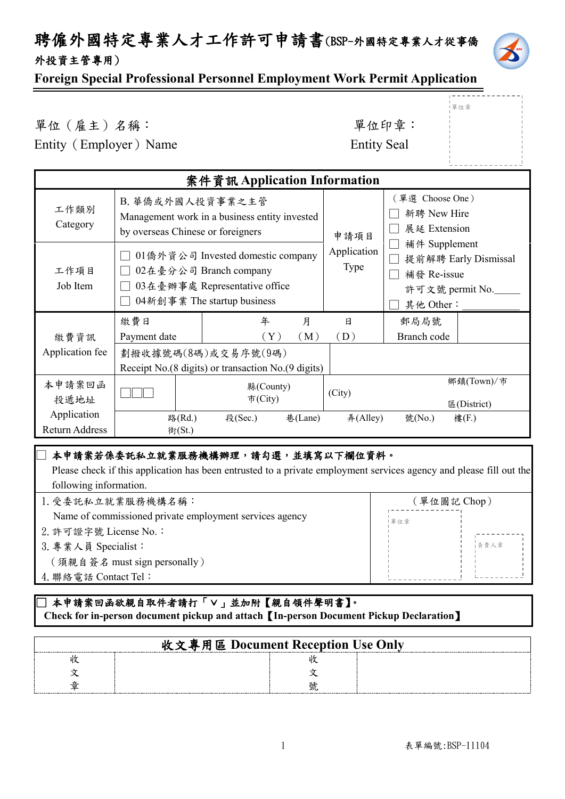## 聘僱外國特定專業人才工作許可申請書(BSP-外國特定專業人才從事僑 外投資主管專用)



單位章

### **Foreign Special Professional Personnel Employment Work Permit Application**

單位(雇主)名稱: 第六章: 李仁平 李 里位印章:

Entity (Employer) Name Entity Seal

| 案件資訊 Application Information  |                                   |                                                                                                                              |                     |                                                                                       |                                                |                           |  |
|-------------------------------|-----------------------------------|------------------------------------------------------------------------------------------------------------------------------|---------------------|---------------------------------------------------------------------------------------|------------------------------------------------|---------------------------|--|
| 工作類別<br>Category              | by overseas Chinese or foreigners | B. 華僑或外國人投資事業之主管<br>Management work in a business entity invested                                                            |                     | 申請項目                                                                                  | (單選 Choose One)<br>新聘 New Hire<br>展延 Extension |                           |  |
| 工作項目<br>Job Item              |                                   | 01 僑外資公司 Invested domestic company<br>02在臺分公司 Branch company<br>03在臺辦事處 Representative office<br>04新創事業 The startup business | Application<br>Type | 補件 Supplement<br>提前解聘 Early Dismissal<br>補發 Re-issue<br>許可文號 permit No._<br>其他 Other: |                                                |                           |  |
|                               | 繳費日                               | 年                                                                                                                            | 月                   | 日                                                                                     | 郵局局號                                           |                           |  |
| 繳費資訊                          | Payment date                      | $(\,\mathrm{Y}\,)$                                                                                                           | (M)                 | (D)                                                                                   | Branch code                                    |                           |  |
| Application fee               |                                   | 劃撥收據號碼(8碼)或交易序號(9碼)<br>Receipt No.(8 digits) or transaction No.(9 digits)                                                    |                     |                                                                                       |                                                |                           |  |
| 本申請案回函<br>投遞地址                |                                   | 縣(County)<br>市(City)                                                                                                         |                     | (City)                                                                                |                                                | 鄉鎮(Town)/市<br>E(District) |  |
| Application<br>Return Address | 路(Rd.)<br>街(St.)                  | 段(Sec.)<br>巷(Lane)                                                                                                           |                     | $#($ Alley $)$                                                                        | 號(No.)                                         | 樓(F.)                     |  |

### 本申請案若係委託私立就業服務機構辦理,請勾選,並填寫以下欄位資料。

 Please check if this application has been entrusted to a private employment services agency and please fill out the following information.

1.受委託私立就業服務機構名稱:

4.聯絡電話 Contact Tel:

ئــا<br>—

- Name of commissioned private employment services agency 2.許可證字號 License No.: 3.專業人員 Specialist: (須親自簽名 must sign personally)
- (單位圖記 Chop) 負責人章 l<br>l 單位章

### ]本申請案回函欲親自取件者請打「∨」並加附【親自領件聲明書】。  **Check for in-person document pickup and attach**【**In-person Document Pickup Declaration**】

| 收文專用區 Document Reception Use Only |  |  |
|-----------------------------------|--|--|
|                                   |  |  |
|                                   |  |  |
|                                   |  |  |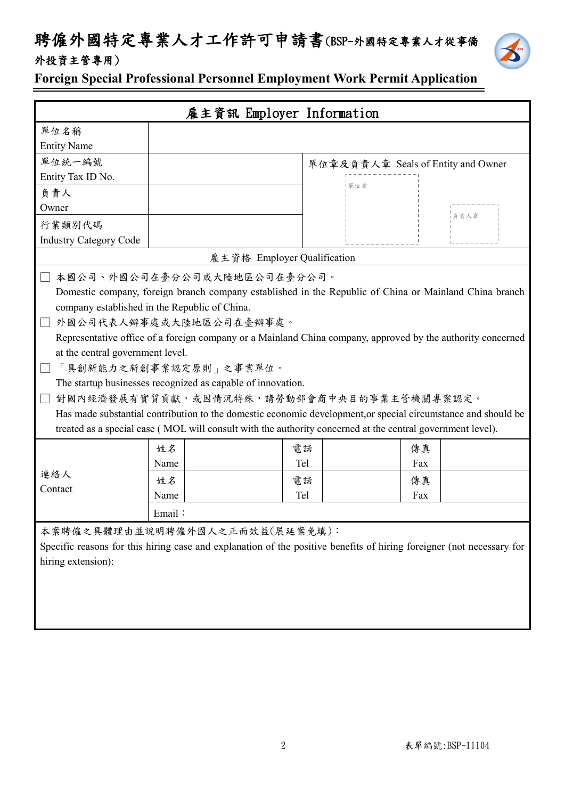## 聘僱外國特定專業人才工作許可申請書(BSP-外國特定專業人才從事僑 外投資主管專用)



**Foreign Special Professional Personnel Employment Work Permit Application**

| 雇主資訊 Employer Information                                                                                             |      |                                                                                                               |                                    |     |      |
|-----------------------------------------------------------------------------------------------------------------------|------|---------------------------------------------------------------------------------------------------------------|------------------------------------|-----|------|
| 單位名稱                                                                                                                  |      |                                                                                                               |                                    |     |      |
| <b>Entity Name</b>                                                                                                    |      |                                                                                                               |                                    |     |      |
| 單位統一編號                                                                                                                |      |                                                                                                               |                                    |     |      |
| Entity Tax ID No.                                                                                                     |      |                                                                                                               | 單位章及負責人章 Seals of Entity and Owner |     |      |
| 負責人                                                                                                                   |      |                                                                                                               | 單位章                                |     |      |
| Owner                                                                                                                 |      |                                                                                                               |                                    |     |      |
| 行業類別代碼                                                                                                                |      |                                                                                                               |                                    |     | 負責人章 |
| <b>Industry Category Code</b>                                                                                         |      |                                                                                                               |                                    |     |      |
|                                                                                                                       |      | 雇主資格 Employer Qualification                                                                                   |                                    |     |      |
|                                                                                                                       |      | 本國公司、外國公司在臺分公司或大陸地區公司在臺分公司。                                                                                   |                                    |     |      |
|                                                                                                                       |      | Domestic company, foreign branch company established in the Republic of China or Mainland China branch        |                                    |     |      |
| company established in the Republic of China.                                                                         |      |                                                                                                               |                                    |     |      |
|                                                                                                                       |      | 外國公司代表人辦事處或大陸地區公司在臺辦事處。                                                                                       |                                    |     |      |
|                                                                                                                       |      | Representative office of a foreign company or a Mainland China company, approved by the authority concerned   |                                    |     |      |
| at the central government level.                                                                                      |      |                                                                                                               |                                    |     |      |
|                                                                                                                       |      | 「具創新能力之新創事業認定原則」之事業單位。                                                                                        |                                    |     |      |
|                                                                                                                       |      | The startup businesses recognized as capable of innovation.                                                   |                                    |     |      |
|                                                                                                                       |      | 對國內經濟發展有實質貢獻,或因情況特殊,請勞動部會商中央目的事業主管機關專案認定。                                                                     |                                    |     |      |
|                                                                                                                       |      | Has made substantial contribution to the domestic economic development, or special circumstance and should be |                                    |     |      |
|                                                                                                                       |      | treated as a special case (MOL will consult with the authority concerned at the central government level).    |                                    |     |      |
|                                                                                                                       | 姓名   |                                                                                                               | 電話                                 | 傳真  |      |
|                                                                                                                       | Name |                                                                                                               | Tel                                | Fax |      |
| 連絡人                                                                                                                   | 姓名   |                                                                                                               | 電話                                 | 傳真  |      |
| Contact                                                                                                               | Name |                                                                                                               | Tel                                | Fax |      |
|                                                                                                                       |      |                                                                                                               |                                    |     |      |
| Email:                                                                                                                |      |                                                                                                               |                                    |     |      |
| 本案聘僱之具體理由並說明聘僱外國人之正面效益(展延案免填):                                                                                        |      |                                                                                                               |                                    |     |      |
| Specific reasons for this hiring case and explanation of the positive benefits of hiring foreigner (not necessary for |      |                                                                                                               |                                    |     |      |
| hiring extension):                                                                                                    |      |                                                                                                               |                                    |     |      |
|                                                                                                                       |      |                                                                                                               |                                    |     |      |
|                                                                                                                       |      |                                                                                                               |                                    |     |      |
|                                                                                                                       |      |                                                                                                               |                                    |     |      |
|                                                                                                                       |      |                                                                                                               |                                    |     |      |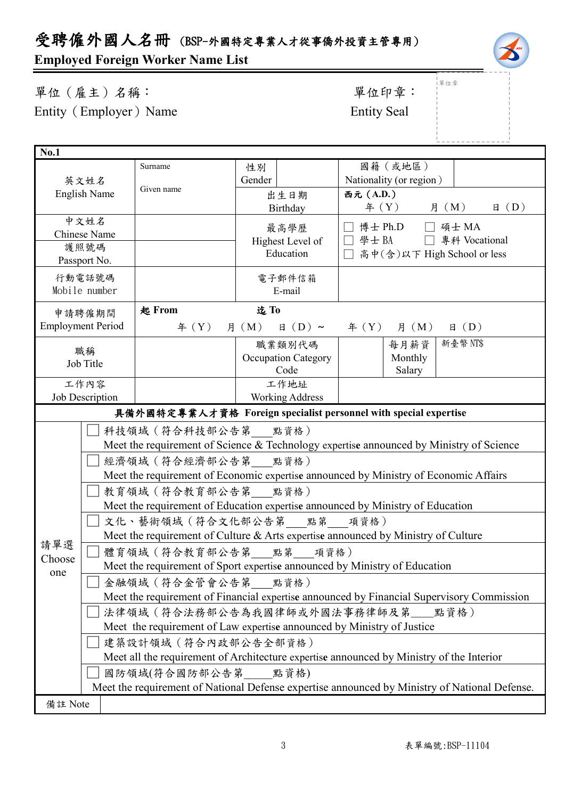# 受聘僱外國人名冊 (BSP-外國特定專業人才從事僑外投資主管專用)

## **Employed Foreign Worker Name List**

單位(雇主)名稱: 第四章: 李位印章: 第一 Entity (Employer) Name Entity Seal

# 單位章

| <b>No.1</b>                                                                               |                                                                                      |                                                                                               |                        |                                                                                         |  |  |  |  |
|-------------------------------------------------------------------------------------------|--------------------------------------------------------------------------------------|-----------------------------------------------------------------------------------------------|------------------------|-----------------------------------------------------------------------------------------|--|--|--|--|
| 英文姓名<br><b>English Name</b>                                                               |                                                                                      | Surname                                                                                       | 性別                     | 國籍(或地區)                                                                                 |  |  |  |  |
|                                                                                           |                                                                                      |                                                                                               | Gender                 | Nationality (or region)                                                                 |  |  |  |  |
|                                                                                           |                                                                                      | Given name                                                                                    | 出生日期                   | 西元 (A.D.)                                                                               |  |  |  |  |
|                                                                                           |                                                                                      |                                                                                               | Birthday               | 年 (Y) 月 (M)<br>$\boxplus$ (D)                                                           |  |  |  |  |
|                                                                                           | 中文姓名                                                                                 |                                                                                               | 最高學歷                   | 博士 Ph.D □ 碩士 MA                                                                         |  |  |  |  |
|                                                                                           | Chinese Name                                                                         |                                                                                               | Highest Level of       | □ 學士 BA □ 專科 Vocational                                                                 |  |  |  |  |
|                                                                                           | 護照號碼                                                                                 |                                                                                               | Education              | □ 高中(含)以下 High School or less                                                           |  |  |  |  |
|                                                                                           | Passport No.                                                                         |                                                                                               |                        |                                                                                         |  |  |  |  |
|                                                                                           | 行動電話號碼                                                                               |                                                                                               | 電子郵件信箱                 |                                                                                         |  |  |  |  |
|                                                                                           | Mobile number                                                                        |                                                                                               | E-mail                 |                                                                                         |  |  |  |  |
|                                                                                           | 申請聘僱期間                                                                               | 起 From                                                                                        | 迄To                    |                                                                                         |  |  |  |  |
|                                                                                           | <b>Employment Period</b>                                                             | f(X)                                                                                          | 月 (M)                  | 日 (D) ~ 年 (Y) 月 (M)<br>$\boxplus$ (D)                                                   |  |  |  |  |
|                                                                                           | 職稱                                                                                   |                                                                                               | 職業類別代碼                 | 新臺幣 NT\$<br>每月薪資                                                                        |  |  |  |  |
|                                                                                           | Job Title                                                                            |                                                                                               | Occupation Category    | Monthly                                                                                 |  |  |  |  |
|                                                                                           |                                                                                      |                                                                                               | Code                   | Salary                                                                                  |  |  |  |  |
|                                                                                           | 工作內容                                                                                 |                                                                                               | 工作地址                   |                                                                                         |  |  |  |  |
|                                                                                           | Job Description                                                                      |                                                                                               | <b>Working Address</b> |                                                                                         |  |  |  |  |
|                                                                                           |                                                                                      |                                                                                               |                        | 具備外國特定專業人才資格 Foreign specialist personnel with special expertise                        |  |  |  |  |
|                                                                                           |                                                                                      | 科技領域 (符合科技部公告第 __ 點資格)                                                                        |                        |                                                                                         |  |  |  |  |
|                                                                                           |                                                                                      |                                                                                               |                        | Meet the requirement of Science & Technology expertise announced by Ministry of Science |  |  |  |  |
|                                                                                           |                                                                                      | 經濟領域 (符合經濟部公告第 點資格)                                                                           |                        |                                                                                         |  |  |  |  |
|                                                                                           | Meet the requirement of Economic expertise announced by Ministry of Economic Affairs |                                                                                               |                        |                                                                                         |  |  |  |  |
|                                                                                           |                                                                                      | 教育領域 (符合教育部公告第 點資格)                                                                           |                        |                                                                                         |  |  |  |  |
|                                                                                           | Meet the requirement of Education expertise announced by Ministry of Education       |                                                                                               |                        |                                                                                         |  |  |  |  |
|                                                                                           | 文化、藝術領域(符合文化部公告第 點第 項資格)                                                             |                                                                                               |                        |                                                                                         |  |  |  |  |
|                                                                                           |                                                                                      |                                                                                               |                        | Meet the requirement of Culture & Arts expertise announced by Ministry of Culture       |  |  |  |  |
| 請單選<br>Choose                                                                             | 體育領域 (符合教育部公告第 點第 項資格)                                                               |                                                                                               |                        |                                                                                         |  |  |  |  |
| one                                                                                       | Meet the requirement of Sport expertise announced by Ministry of Education           |                                                                                               |                        |                                                                                         |  |  |  |  |
|                                                                                           | 金融領域 (符合金管會公告第 點資格)                                                                  |                                                                                               |                        |                                                                                         |  |  |  |  |
| Meet the requirement of Financial expertise announced by Financial Supervisory Commission |                                                                                      |                                                                                               |                        |                                                                                         |  |  |  |  |
|                                                                                           |                                                                                      | 法律領域(符合法務部公告為我國律師或外國法事務律師及第__點資格)                                                             |                        |                                                                                         |  |  |  |  |
|                                                                                           |                                                                                      | Meet the requirement of Law expertise announced by Ministry of Justice                        |                        |                                                                                         |  |  |  |  |
|                                                                                           |                                                                                      | 建築設計領域 (符合內政部公告全部資格)                                                                          |                        |                                                                                         |  |  |  |  |
|                                                                                           |                                                                                      | Meet all the requirement of Architecture expertise announced by Ministry of the Interior      |                        |                                                                                         |  |  |  |  |
|                                                                                           |                                                                                      | 國防領域(符合國防部公告第 點資格)                                                                            |                        |                                                                                         |  |  |  |  |
|                                                                                           |                                                                                      | Meet the requirement of National Defense expertise announced by Ministry of National Defense. |                        |                                                                                         |  |  |  |  |
|                                                                                           | 備註 Note                                                                              |                                                                                               |                        |                                                                                         |  |  |  |  |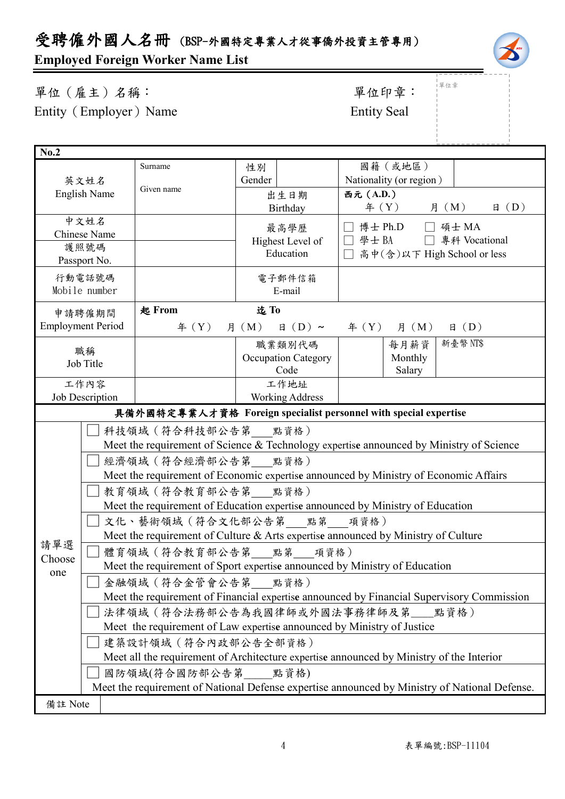# 受聘僱外國人名冊 (BSP-外國特定專業人才從事僑外投資主管專用)

## **Employed Foreign Worker Name List**

| 單位 (雇主)名稱:             | 單位印章               |
|------------------------|--------------------|
| Entity (Employer) Name | <b>Entity Seal</b> |

# 單位印章: 單位章

| No.2                                                                                      |                                                                                   |                                                                                               |                               |                            |                             |                         |  |                |                |
|-------------------------------------------------------------------------------------------|-----------------------------------------------------------------------------------|-----------------------------------------------------------------------------------------------|-------------------------------|----------------------------|-----------------------------|-------------------------|--|----------------|----------------|
| 英文姓名<br><b>English Name</b>                                                               |                                                                                   | Surname                                                                                       | 性別                            |                            |                             | 國籍(或地區)                 |  |                |                |
|                                                                                           |                                                                                   |                                                                                               | Gender                        |                            |                             | Nationality (or region) |  |                |                |
|                                                                                           |                                                                                   | Given name                                                                                    |                               | 出生日期                       | 西元 (A.D.)                   |                         |  |                |                |
|                                                                                           |                                                                                   |                                                                                               | Birthday                      |                            |                             | 年 (Y) 月 (M)             |  |                | $\boxplus$ (D) |
|                                                                                           | 中文姓名                                                                              |                                                                                               |                               | 最高學歷                       |                             | 博士 Ph.D                 |  | □ 碩士 MA        |                |
|                                                                                           | <b>Chinese Name</b>                                                               |                                                                                               |                               |                            |                             | □ 學士 BA □ 專科 Vocational |  |                |                |
|                                                                                           | 護照號碼                                                                              |                                                                                               | Highest Level of<br>Education |                            | 高中(含)以下 High School or less |                         |  |                |                |
|                                                                                           | Passport No.                                                                      |                                                                                               |                               |                            |                             |                         |  |                |                |
|                                                                                           | 行動電話號碼                                                                            |                                                                                               |                               | 電子郵件信箱                     |                             |                         |  |                |                |
|                                                                                           | Mobile number                                                                     |                                                                                               |                               | E-mail                     |                             |                         |  |                |                |
|                                                                                           | 申請聘僱期間                                                                            | 起 From                                                                                        | 迄To                           |                            |                             |                         |  |                |                |
| <b>Employment Period</b>                                                                  |                                                                                   | 年 $(Y)$                                                                                       | 月 (M)                         | $\boxplus$ (D) ~           |                             | $\text{4}(Y)$ 月 (M)     |  | $\boxplus$ (D) |                |
|                                                                                           | 職稱                                                                                |                                                                                               |                               | 職業類別代碼                     |                             | 每月薪資                    |  | 新臺幣 NT\$       |                |
|                                                                                           | Job Title                                                                         |                                                                                               |                               | <b>Occupation Category</b> |                             | Monthly                 |  |                |                |
|                                                                                           |                                                                                   |                                                                                               |                               | Code                       |                             | Salary                  |  |                |                |
|                                                                                           | 工作內容                                                                              |                                                                                               |                               | 工作地址                       |                             |                         |  |                |                |
|                                                                                           | Job Description                                                                   |                                                                                               |                               | <b>Working Address</b>     |                             |                         |  |                |                |
|                                                                                           |                                                                                   | 具備外國特定專業人才資格 Foreign specialist personnel with special expertise                              |                               |                            |                             |                         |  |                |                |
|                                                                                           | 科技領域 (符合科技部公告第 點資格)                                                               |                                                                                               |                               |                            |                             |                         |  |                |                |
|                                                                                           |                                                                                   | Meet the requirement of Science & Technology expertise announced by Ministry of Science       |                               |                            |                             |                         |  |                |                |
|                                                                                           |                                                                                   | 經濟領域 (符合經濟部公告第 點資格)                                                                           |                               |                            |                             |                         |  |                |                |
| Meet the requirement of Economic expertise announced by Ministry of Economic Affairs      |                                                                                   |                                                                                               |                               |                            |                             |                         |  |                |                |
|                                                                                           |                                                                                   | 教育領域 (符合教育部公告第 點資格)                                                                           |                               |                            |                             |                         |  |                |                |
|                                                                                           | Meet the requirement of Education expertise announced by Ministry of Education    |                                                                                               |                               |                            |                             |                         |  |                |                |
|                                                                                           | 文化、藝術領域 (符合文化部公告第 點第 項資格)                                                         |                                                                                               |                               |                            |                             |                         |  |                |                |
|                                                                                           | Meet the requirement of Culture & Arts expertise announced by Ministry of Culture |                                                                                               |                               |                            |                             |                         |  |                |                |
| 請單選                                                                                       | 體育領域 (符合教育部公告第___點第___項資格)                                                        |                                                                                               |                               |                            |                             |                         |  |                |                |
| Choose<br>one                                                                             | Meet the requirement of Sport expertise announced by Ministry of Education        |                                                                                               |                               |                            |                             |                         |  |                |                |
|                                                                                           | 金融領域 (符合金管會公告第 點資格)                                                               |                                                                                               |                               |                            |                             |                         |  |                |                |
| Meet the requirement of Financial expertise announced by Financial Supervisory Commission |                                                                                   |                                                                                               |                               |                            |                             |                         |  |                |                |
|                                                                                           |                                                                                   | 法律領域(符合法務部公告為我國律師或外國法事務律師及第__點資格)                                                             |                               |                            |                             |                         |  |                |                |
|                                                                                           |                                                                                   | Meet the requirement of Law expertise announced by Ministry of Justice                        |                               |                            |                             |                         |  |                |                |
|                                                                                           |                                                                                   | 建築設計領域 (符合內政部公告全部資格)                                                                          |                               |                            |                             |                         |  |                |                |
|                                                                                           |                                                                                   | Meet all the requirement of Architecture expertise announced by Ministry of the Interior      |                               |                            |                             |                         |  |                |                |
|                                                                                           |                                                                                   | 國防領域(符合國防部公告第 點資格)                                                                            |                               |                            |                             |                         |  |                |                |
|                                                                                           |                                                                                   | Meet the requirement of National Defense expertise announced by Ministry of National Defense. |                               |                            |                             |                         |  |                |                |
|                                                                                           | 備註 Note                                                                           |                                                                                               |                               |                            |                             |                         |  |                |                |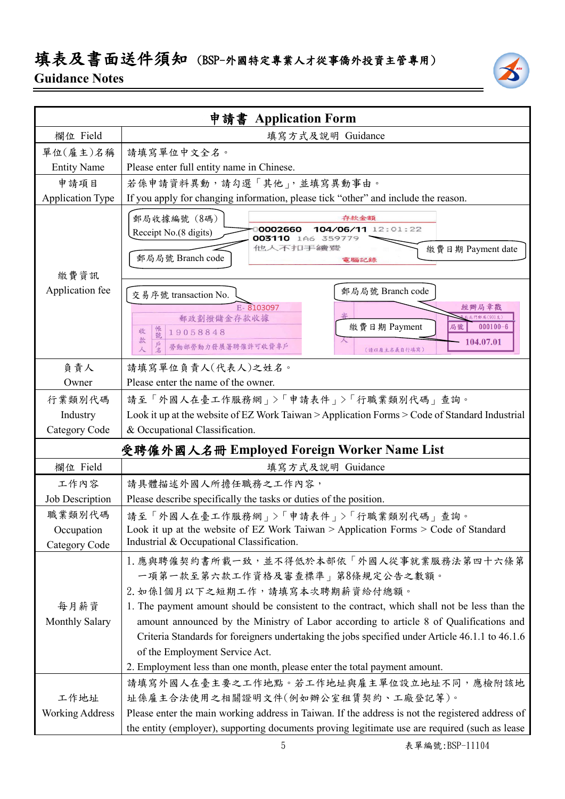### 填表及書面送件須知 (BSP-外國特定專業人才從事僑外投資主管專用)

### **Guidance Notes**

|                                       | 申請書 Application Form                                                                                                                                                                                                                                                                                                                                                                                                                          |  |  |  |
|---------------------------------------|-----------------------------------------------------------------------------------------------------------------------------------------------------------------------------------------------------------------------------------------------------------------------------------------------------------------------------------------------------------------------------------------------------------------------------------------------|--|--|--|
| 欄位 Field                              | 填寫方式及說明 Guidance                                                                                                                                                                                                                                                                                                                                                                                                                              |  |  |  |
| 單位(雇主)名稱                              | 請填寫單位中文全名。                                                                                                                                                                                                                                                                                                                                                                                                                                    |  |  |  |
| <b>Entity Name</b>                    | Please enter full entity name in Chinese.                                                                                                                                                                                                                                                                                                                                                                                                     |  |  |  |
| 申請項目                                  | 若係申請資料異動,請勾選「其他」,並填寫異動事由。                                                                                                                                                                                                                                                                                                                                                                                                                     |  |  |  |
| <b>Application Type</b>               | If you apply for changing information, please tick "other" and include the reason.                                                                                                                                                                                                                                                                                                                                                            |  |  |  |
| 繳費資訊                                  | 郵局收據編號 (8碼)<br>存款金額<br>0002660<br>104/06/11 12:01:22<br>Receipt No.(8 digits)<br>003110 1A6 359779<br>他人不扣手續費<br>繳費日期 Payment date<br>郵局局號 Branch code<br>電腦記錄                                                                                                                                                                                                                                                                                |  |  |  |
| Application fee                       | 郵局局號 Branch code<br>交易序號 transaction No.                                                                                                                                                                                                                                                                                                                                                                                                      |  |  |  |
|                                       | E-8103097<br>經辦局章戳<br>郵政劃撥儲金存款收據<br>北門郵局(901支)<br>繳費日期 Payment<br>局號<br>$000100 - 6$<br>帳號<br>19058848<br>收<br>款<br>104.07.01<br>勞動部勞動力發展署聘僱許可收費專戶<br>人<br>(請以雇主名義自行填寫)                                                                                                                                                                                                                                                                       |  |  |  |
| 負責人                                   | 請填寫單位負責人(代表人)之姓名。                                                                                                                                                                                                                                                                                                                                                                                                                             |  |  |  |
| Owner                                 | Please enter the name of the owner.                                                                                                                                                                                                                                                                                                                                                                                                           |  |  |  |
| 行業類別代碼                                | 請至「外國人在臺工作服務網」>「申請表件」>「行職業類別代碼」查詢。                                                                                                                                                                                                                                                                                                                                                                                                            |  |  |  |
| Industry                              | Look it up at the website of EZ Work Taiwan > Application Forms > Code of Standard Industrial                                                                                                                                                                                                                                                                                                                                                 |  |  |  |
| Category Code                         | & Occupational Classification.                                                                                                                                                                                                                                                                                                                                                                                                                |  |  |  |
|                                       | 受聘僱外國人名冊 Employed Foreign Worker Name List                                                                                                                                                                                                                                                                                                                                                                                                    |  |  |  |
| 欄位 Field                              | 填寫方式及說明 Guidance                                                                                                                                                                                                                                                                                                                                                                                                                              |  |  |  |
| 工作內容                                  | 請具體描述外國人所擔任職務之工作內容,                                                                                                                                                                                                                                                                                                                                                                                                                           |  |  |  |
| Job Description                       | Please describe specifically the tasks or duties of the position.                                                                                                                                                                                                                                                                                                                                                                             |  |  |  |
| 職業類別代碼<br>Occupation<br>Category Code | 請至「外國人在臺工作服務網」>「申請表件」>「行職業類別代碼」查詢。<br>Look it up at the website of EZ Work Taiwan > Application Forms > Code of Standard<br>Industrial & Occupational Classification.                                                                                                                                                                                                                                                                         |  |  |  |
| 每月薪資<br><b>Monthly Salary</b>         | 1. 應與聘僱契約書所載一致,並不得低於本部依「外國人從事就業服務法第四十六條第<br>一項第一款至第六款工作資格及審查標準   第8條規定公告之數額。<br>2. 如係1個月以下之短期工作,請填寫本次聘期薪資給付總額。<br>1. The payment amount should be consistent to the contract, which shall not be less than the<br>amount announced by the Ministry of Labor according to article 8 of Qualifications and<br>Criteria Standards for foreigners undertaking the jobs specified under Article 46.1.1 to 46.1.6<br>of the Employment Service Act. |  |  |  |
|                                       | 2. Employment less than one month, please enter the total payment amount.                                                                                                                                                                                                                                                                                                                                                                     |  |  |  |
| 工作地址<br><b>Working Address</b>        | 請填寫外國人在臺主要之工作地點。若工作地址與雇主單位設立地址不同,應檢附該地<br>址係雇主合法使用之相關證明文件(例如辦公室租賃契約、工廠登記等)。<br>Please enter the main working address in Taiwan. If the address is not the registered address of                                                                                                                                                                                                                                                               |  |  |  |
|                                       | the entity (employer), supporting documents proving legitimate use are required (such as lease                                                                                                                                                                                                                                                                                                                                                |  |  |  |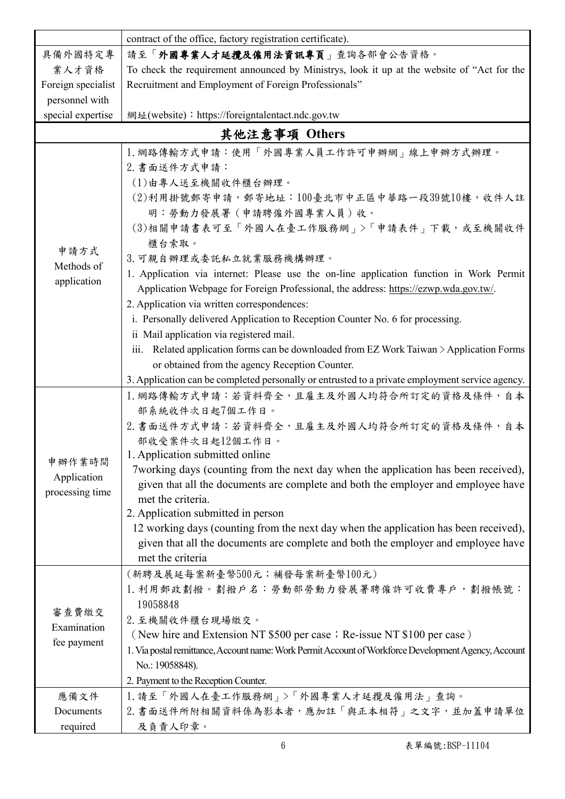|                                          | contract of the office, factory registration certificate).                                                                                                                                                                                                                                                                                                                                                                                                                                                                                                                                                                                                                                                                                                                                                                                            |  |  |  |  |  |
|------------------------------------------|-------------------------------------------------------------------------------------------------------------------------------------------------------------------------------------------------------------------------------------------------------------------------------------------------------------------------------------------------------------------------------------------------------------------------------------------------------------------------------------------------------------------------------------------------------------------------------------------------------------------------------------------------------------------------------------------------------------------------------------------------------------------------------------------------------------------------------------------------------|--|--|--|--|--|
| 具備外國特定專                                  | 請至「外國專業人才延攬及僱用法資訊專頁」查詢各部會公告資格。                                                                                                                                                                                                                                                                                                                                                                                                                                                                                                                                                                                                                                                                                                                                                                                                                        |  |  |  |  |  |
| 業人才資格                                    | To check the requirement announced by Ministrys, look it up at the website of "Act for the                                                                                                                                                                                                                                                                                                                                                                                                                                                                                                                                                                                                                                                                                                                                                            |  |  |  |  |  |
| Foreign specialist                       | Recruitment and Employment of Foreign Professionals"                                                                                                                                                                                                                                                                                                                                                                                                                                                                                                                                                                                                                                                                                                                                                                                                  |  |  |  |  |  |
| personnel with                           |                                                                                                                                                                                                                                                                                                                                                                                                                                                                                                                                                                                                                                                                                                                                                                                                                                                       |  |  |  |  |  |
| special expertise                        | 網址(website): https://foreigntalentact.ndc.gov.tw                                                                                                                                                                                                                                                                                                                                                                                                                                                                                                                                                                                                                                                                                                                                                                                                      |  |  |  |  |  |
|                                          | 其他注意事項 Others                                                                                                                                                                                                                                                                                                                                                                                                                                                                                                                                                                                                                                                                                                                                                                                                                                         |  |  |  |  |  |
| 申請方式<br>Methods of<br>application        | 1. 網路傳輸方式申請:使用「外國專業人員工作許可申辦網」線上申辦方式辦理。<br>2. 書面送件方式申請:<br>(1)由專人送至機關收件櫃台辦理。<br>(2)利用掛號郵寄申請,郵寄地址:100臺北市中正區中華路一段39號10樓,收件人註<br>明:勞動力發展署(申請聘僱外國專業人員)收。<br>(3)相關申請書表可至「外國人在臺工作服務網」>「申請表件」下載,或至機關收件<br>櫃台索取。<br>3. 可親自辦理或委託私立就業服務機構辦理。<br>1. Application via internet: Please use the on-line application function in Work Permit<br>Application Webpage for Foreign Professional, the address: https://ezwp.wda.gov.tw/.<br>2. Application via written correspondences:<br>i. Personally delivered Application to Reception Counter No. 6 for processing.<br>ii Mail application via registered mail.<br>Related application forms can be downloaded from EZ Work Taiwan > Application Forms<br>111.<br>or obtained from the agency Reception Counter.<br>3. Application can be completed personally or entrusted to a private employment service agency. |  |  |  |  |  |
| 申辦作業時間<br>Application<br>processing time | 1. 網路傳輸方式申請:若資料齊全,且雇主及外國人均符合所訂定的資格及條件,自本<br>部系統收件次日起7個工作日。<br>2. 書面送件方式申請:若資料齊全,且雇主及外國人均符合所訂定的資格及條件,自本<br>部收受案件次日起12個工作日。<br>1. Application submitted online<br>7 working days (counting from the next day when the application has been received),<br>given that all the documents are complete and both the employer and employee have<br>met the criteria.<br>2. Application submitted in person<br>12 working days (counting from the next day when the application has been received),<br>given that all the documents are complete and both the employer and employee have<br>met the criteria                                                                                                                                                                                                                                                  |  |  |  |  |  |
| 審查費繳交<br>Examination<br>fee payment      | (新聘及展延每案新臺幣500元;補發每案新臺幣100元)<br>1. 利用郵政劃撥。劃撥戶名: 勞動部勞動力發展署聘僱許可收費專戶, 劃撥帳號:<br>19058848<br>2. 至機關收件櫃台現場繳交。<br>(New hire and Extension NT \$500 per case; Re-issue NT \$100 per case)<br>1. Via postal remittance, Account name: Work Permit Account of Workforce Development Agency, Account<br>No.: 19058848).<br>2. Payment to the Reception Counter.                                                                                                                                                                                                                                                                                                                                                                                                                                                                                                  |  |  |  |  |  |
| 應備文件                                     | 1. 請至「外國人在臺工作服務網」>「外國專業人才延攬及僱用法」查詢。                                                                                                                                                                                                                                                                                                                                                                                                                                                                                                                                                                                                                                                                                                                                                                                                                   |  |  |  |  |  |
| Documents                                | 2. 書面送件所附相關資料係為影本者,應加註「與正本相符」之文字,並加蓋申請單位                                                                                                                                                                                                                                                                                                                                                                                                                                                                                                                                                                                                                                                                                                                                                                                                              |  |  |  |  |  |
| required                                 | 及負責人印章。                                                                                                                                                                                                                                                                                                                                                                                                                                                                                                                                                                                                                                                                                                                                                                                                                                               |  |  |  |  |  |